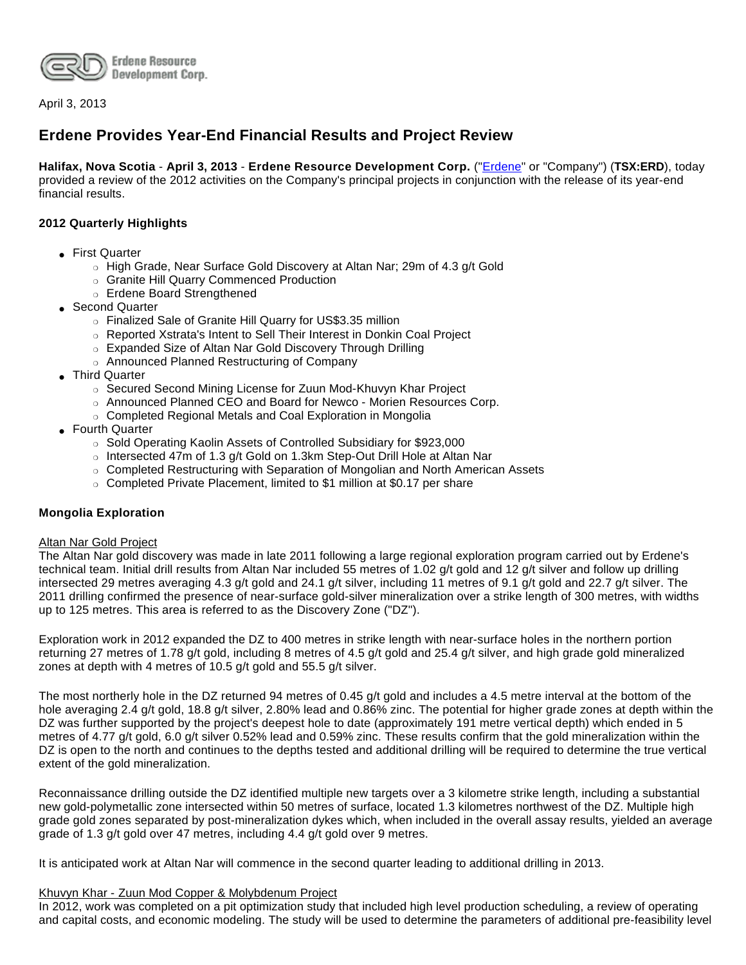

April 3, 2013

# **Erdene Provides Year-End Financial Results and Project Review**

**Halifax, Nova Scotia** - **April 3, 2013** - **Erdene Resource Development Corp.** (["Erdene](http://www.erdene.com/)" or "Company") (**TSX:ERD**), today provided a review of the 2012 activities on the Company's principal projects in conjunction with the release of its year-end financial results.

## **2012 Quarterly Highlights**

- First Quarter
	- ❍ High Grade, Near Surface Gold Discovery at Altan Nar; 29m of 4.3 g/t Gold
	- ❍ Granite Hill Quarry Commenced Production
	- ❍ Erdene Board Strengthened
- Second Quarter
	- ❍ Finalized Sale of Granite Hill Quarry for US\$3.35 million
	- ❍ Reported Xstrata's Intent to Sell Their Interest in Donkin Coal Project
	- ❍ Expanded Size of Altan Nar Gold Discovery Through Drilling
	- ❍ Announced Planned Restructuring of Company
- Third Quarter
	- ❍ Secured Second Mining License for Zuun Mod-Khuvyn Khar Project
	- ❍ Announced Planned CEO and Board for Newco Morien Resources Corp.
	- ❍ Completed Regional Metals and Coal Exploration in Mongolia
- Fourth Quarter
	- ❍ Sold Operating Kaolin Assets of Controlled Subsidiary for \$923,000
	- o Intersected 47m of 1.3 g/t Gold on 1.3km Step-Out Drill Hole at Altan Nar
	- ❍ Completed Restructuring with Separation of Mongolian and North American Assets
	- ❍ Completed Private Placement, limited to \$1 million at \$0.17 per share

### **Mongolia Exploration**

### Altan Nar Gold Project

The Altan Nar gold discovery was made in late 2011 following a large regional exploration program carried out by Erdene's technical team. Initial drill results from Altan Nar included 55 metres of 1.02 g/t gold and 12 g/t silver and follow up drilling intersected 29 metres averaging 4.3 g/t gold and 24.1 g/t silver, including 11 metres of 9.1 g/t gold and 22.7 g/t silver. The 2011 drilling confirmed the presence of near-surface gold-silver mineralization over a strike length of 300 metres, with widths up to 125 metres. This area is referred to as the Discovery Zone ("DZ").

Exploration work in 2012 expanded the DZ to 400 metres in strike length with near-surface holes in the northern portion returning 27 metres of 1.78 g/t gold, including 8 metres of 4.5 g/t gold and 25.4 g/t silver, and high grade gold mineralized zones at depth with 4 metres of 10.5 g/t gold and 55.5 g/t silver.

The most northerly hole in the DZ returned 94 metres of 0.45 g/t gold and includes a 4.5 metre interval at the bottom of the hole averaging 2.4 g/t gold, 18.8 g/t silver, 2.80% lead and 0.86% zinc. The potential for higher grade zones at depth within the DZ was further supported by the project's deepest hole to date (approximately 191 metre vertical depth) which ended in 5 metres of 4.77 g/t gold, 6.0 g/t silver 0.52% lead and 0.59% zinc. These results confirm that the gold mineralization within the DZ is open to the north and continues to the depths tested and additional drilling will be required to determine the true vertical extent of the gold mineralization.

Reconnaissance drilling outside the DZ identified multiple new targets over a 3 kilometre strike length, including a substantial new gold-polymetallic zone intersected within 50 metres of surface, located 1.3 kilometres northwest of the DZ. Multiple high grade gold zones separated by post-mineralization dykes which, when included in the overall assay results, yielded an average grade of 1.3 g/t gold over 47 metres, including 4.4 g/t gold over 9 metres.

It is anticipated work at Altan Nar will commence in the second quarter leading to additional drilling in 2013.

#### Khuvyn Khar - Zuun Mod Copper & Molybdenum Project

In 2012, work was completed on a pit optimization study that included high level production scheduling, a review of operating and capital costs, and economic modeling. The study will be used to determine the parameters of additional pre-feasibility level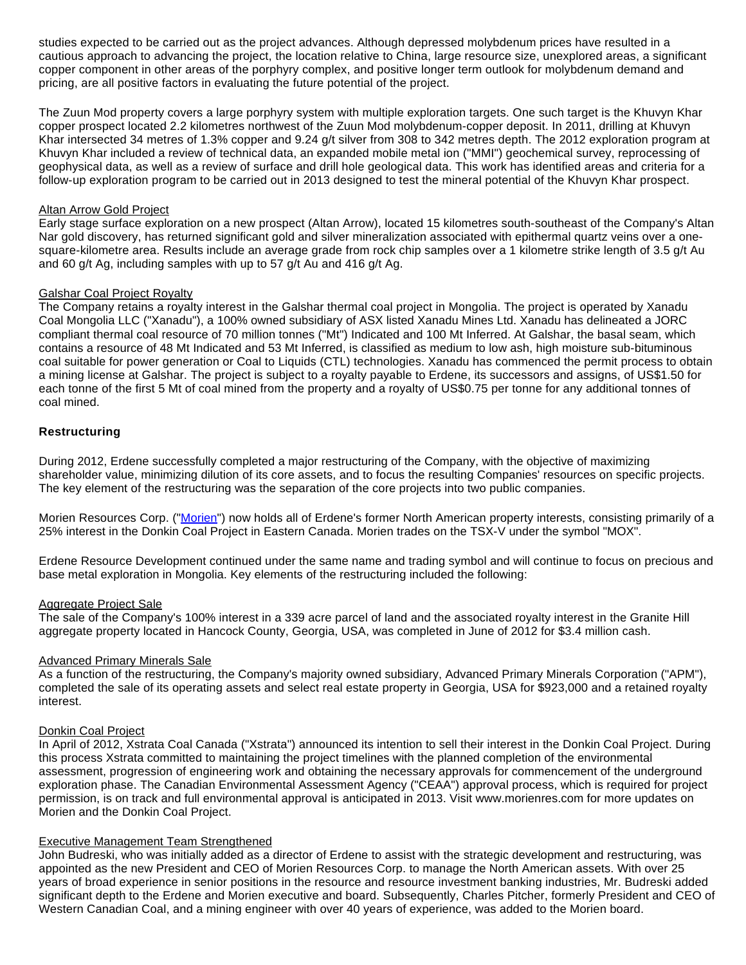studies expected to be carried out as the project advances. Although depressed molybdenum prices have resulted in a cautious approach to advancing the project, the location relative to China, large resource size, unexplored areas, a significant copper component in other areas of the porphyry complex, and positive longer term outlook for molybdenum demand and pricing, are all positive factors in evaluating the future potential of the project.

The Zuun Mod property covers a large porphyry system with multiple exploration targets. One such target is the Khuvyn Khar copper prospect located 2.2 kilometres northwest of the Zuun Mod molybdenum-copper deposit. In 2011, drilling at Khuvyn Khar intersected 34 metres of 1.3% copper and 9.24 g/t silver from 308 to 342 metres depth. The 2012 exploration program at Khuvyn Khar included a review of technical data, an expanded mobile metal ion ("MMI") geochemical survey, reprocessing of geophysical data, as well as a review of surface and drill hole geological data. This work has identified areas and criteria for a follow-up exploration program to be carried out in 2013 designed to test the mineral potential of the Khuvyn Khar prospect.

#### Altan Arrow Gold Project

Early stage surface exploration on a new prospect (Altan Arrow), located 15 kilometres south-southeast of the Company's Altan Nar gold discovery, has returned significant gold and silver mineralization associated with epithermal quartz veins over a onesquare-kilometre area. Results include an average grade from rock chip samples over a 1 kilometre strike length of 3.5 g/t Au and 60 g/t Ag, including samples with up to 57 g/t Au and 416 g/t Ag.

#### Galshar Coal Project Royalty

The Company retains a royalty interest in the Galshar thermal coal project in Mongolia. The project is operated by Xanadu Coal Mongolia LLC ("Xanadu"), a 100% owned subsidiary of ASX listed Xanadu Mines Ltd. Xanadu has delineated a JORC compliant thermal coal resource of 70 million tonnes ("Mt") Indicated and 100 Mt Inferred. At Galshar, the basal seam, which contains a resource of 48 Mt Indicated and 53 Mt Inferred, is classified as medium to low ash, high moisture sub-bituminous coal suitable for power generation or Coal to Liquids (CTL) technologies. Xanadu has commenced the permit process to obtain a mining license at Galshar. The project is subject to a royalty payable to Erdene, its successors and assigns, of US\$1.50 for each tonne of the first 5 Mt of coal mined from the property and a royalty of US\$0.75 per tonne for any additional tonnes of coal mined.

## **Restructuring**

During 2012, Erdene successfully completed a major restructuring of the Company, with the objective of maximizing shareholder value, minimizing dilution of its core assets, and to focus the resulting Companies' resources on specific projects. The key element of the restructuring was the separation of the core projects into two public companies.

Morien Resources Corp. ("[Morien](http://www.morienres.com/)") now holds all of Erdene's former North American property interests, consisting primarily of a 25% interest in the Donkin Coal Project in Eastern Canada. Morien trades on the TSX-V under the symbol "MOX".

Erdene Resource Development continued under the same name and trading symbol and will continue to focus on precious and base metal exploration in Mongolia. Key elements of the restructuring included the following:

### Aggregate Project Sale

The sale of the Company's 100% interest in a 339 acre parcel of land and the associated royalty interest in the Granite Hill aggregate property located in Hancock County, Georgia, USA, was completed in June of 2012 for \$3.4 million cash.

### Advanced Primary Minerals Sale

As a function of the restructuring, the Company's majority owned subsidiary, Advanced Primary Minerals Corporation ("APM"), completed the sale of its operating assets and select real estate property in Georgia, USA for \$923,000 and a retained royalty interest.

### Donkin Coal Project

In April of 2012, Xstrata Coal Canada ("Xstrata") announced its intention to sell their interest in the Donkin Coal Project. During this process Xstrata committed to maintaining the project timelines with the planned completion of the environmental assessment, progression of engineering work and obtaining the necessary approvals for commencement of the underground exploration phase. The Canadian Environmental Assessment Agency ("CEAA") approval process, which is required for project permission, is on track and full environmental approval is anticipated in 2013. Visit www.morienres.com for more updates on Morien and the Donkin Coal Project.

### Executive Management Team Strengthened

John Budreski, who was initially added as a director of Erdene to assist with the strategic development and restructuring, was appointed as the new President and CEO of Morien Resources Corp. to manage the North American assets. With over 25 years of broad experience in senior positions in the resource and resource investment banking industries, Mr. Budreski added significant depth to the Erdene and Morien executive and board. Subsequently, Charles Pitcher, formerly President and CEO of Western Canadian Coal, and a mining engineer with over 40 years of experience, was added to the Morien board.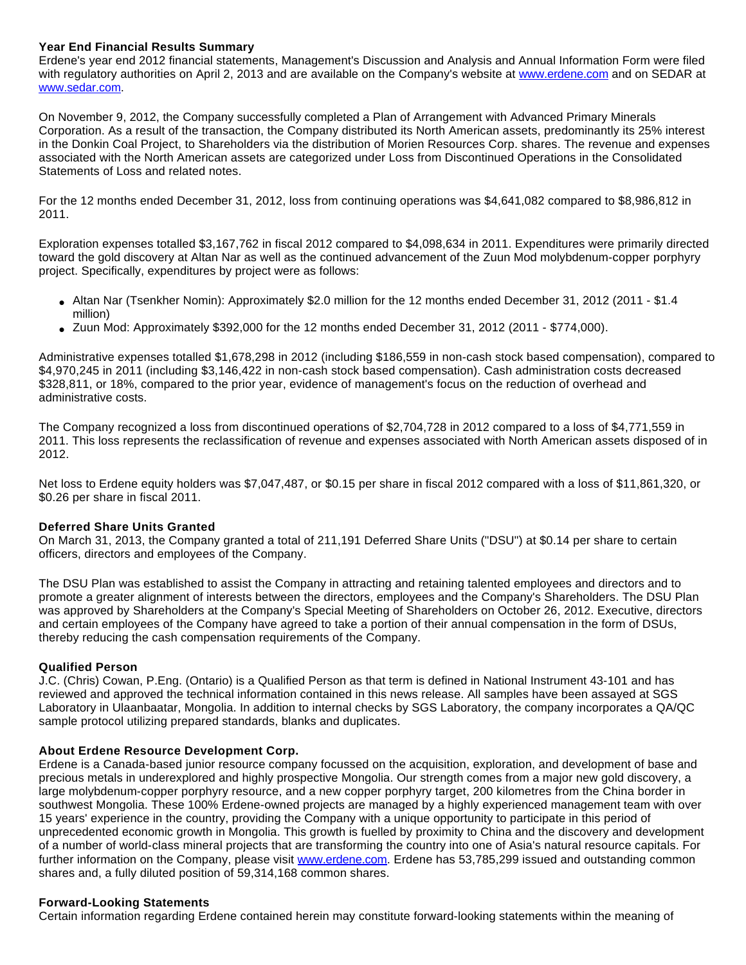## **Year End Financial Results Summary**

Erdene's year end 2012 financial statements, Management's Discussion and Analysis and Annual Information Form were filed with regulatory authorities on April 2, 2013 and are available on the Company's website at [www.erdene.com](http://www.erdene.com/) and on SEDAR at [www.sedar.com](http://www.sedar.com/).

On November 9, 2012, the Company successfully completed a Plan of Arrangement with Advanced Primary Minerals Corporation. As a result of the transaction, the Company distributed its North American assets, predominantly its 25% interest in the Donkin Coal Project, to Shareholders via the distribution of Morien Resources Corp. shares. The revenue and expenses associated with the North American assets are categorized under Loss from Discontinued Operations in the Consolidated Statements of Loss and related notes.

For the 12 months ended December 31, 2012, loss from continuing operations was \$4,641,082 compared to \$8,986,812 in 2011.

Exploration expenses totalled \$3,167,762 in fiscal 2012 compared to \$4,098,634 in 2011. Expenditures were primarily directed toward the gold discovery at Altan Nar as well as the continued advancement of the Zuun Mod molybdenum-copper porphyry project. Specifically, expenditures by project were as follows:

- Altan Nar (Tsenkher Nomin): Approximately \$2.0 million for the 12 months ended December 31, 2012 (2011 \$1.4 million)
- Zuun Mod: Approximately \$392,000 for the 12 months ended December 31, 2012 (2011 \$774,000).

Administrative expenses totalled \$1,678,298 in 2012 (including \$186,559 in non-cash stock based compensation), compared to \$4,970,245 in 2011 (including \$3,146,422 in non-cash stock based compensation). Cash administration costs decreased \$328,811, or 18%, compared to the prior year, evidence of management's focus on the reduction of overhead and administrative costs.

The Company recognized a loss from discontinued operations of \$2,704,728 in 2012 compared to a loss of \$4,771,559 in 2011. This loss represents the reclassification of revenue and expenses associated with North American assets disposed of in 2012.

Net loss to Erdene equity holders was \$7,047,487, or \$0.15 per share in fiscal 2012 compared with a loss of \$11,861,320, or \$0.26 per share in fiscal 2011.

### **Deferred Share Units Granted**

On March 31, 2013, the Company granted a total of 211,191 Deferred Share Units ("DSU") at \$0.14 per share to certain officers, directors and employees of the Company.

The DSU Plan was established to assist the Company in attracting and retaining talented employees and directors and to promote a greater alignment of interests between the directors, employees and the Company's Shareholders. The DSU Plan was approved by Shareholders at the Company's Special Meeting of Shareholders on October 26, 2012. Executive, directors and certain employees of the Company have agreed to take a portion of their annual compensation in the form of DSUs, thereby reducing the cash compensation requirements of the Company.

### **Qualified Person**

J.C. (Chris) Cowan, P.Eng. (Ontario) is a Qualified Person as that term is defined in National Instrument 43-101 and has reviewed and approved the technical information contained in this news release. All samples have been assayed at SGS Laboratory in Ulaanbaatar, Mongolia. In addition to internal checks by SGS Laboratory, the company incorporates a QA/QC sample protocol utilizing prepared standards, blanks and duplicates.

### **About Erdene Resource Development Corp.**

Erdene is a Canada-based junior resource company focussed on the acquisition, exploration, and development of base and precious metals in underexplored and highly prospective Mongolia. Our strength comes from a major new gold discovery, a large molybdenum-copper porphyry resource, and a new copper porphyry target, 200 kilometres from the China border in southwest Mongolia. These 100% Erdene-owned projects are managed by a highly experienced management team with over 15 years' experience in the country, providing the Company with a unique opportunity to participate in this period of unprecedented economic growth in Mongolia. This growth is fuelled by proximity to China and the discovery and development of a number of world-class mineral projects that are transforming the country into one of Asia's natural resource capitals. For further information on the Company, please visit [www.erdene.com.](http://www.erdene.com/) Erdene has 53,785,299 issued and outstanding common shares and, a fully diluted position of 59,314,168 common shares.

### **Forward-Looking Statements**

Certain information regarding Erdene contained herein may constitute forward-looking statements within the meaning of